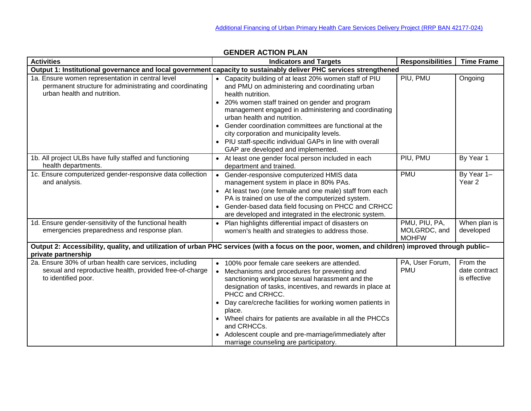| <b>Activities</b>                                                                                                                                                       | 9600600 AVIIVII EAR<br><b>Indicators and Targets</b>                                                                                                                                                                                                                                                                                                                                                                                                                                                     | <b>Responsibilities</b>                       | <b>Time Frame</b>                         |  |  |
|-------------------------------------------------------------------------------------------------------------------------------------------------------------------------|----------------------------------------------------------------------------------------------------------------------------------------------------------------------------------------------------------------------------------------------------------------------------------------------------------------------------------------------------------------------------------------------------------------------------------------------------------------------------------------------------------|-----------------------------------------------|-------------------------------------------|--|--|
| Output 1: Institutional governance and local government capacity to sustainably deliver PHC services strengthened                                                       |                                                                                                                                                                                                                                                                                                                                                                                                                                                                                                          |                                               |                                           |  |  |
| 1a. Ensure women representation in central level<br>permanent structure for administrating and coordinating<br>urban health and nutrition.                              | • Capacity building of at least 20% women staff of PIU<br>and PMU on administering and coordinating urban<br>health nutrition.<br>• 20% women staff trained on gender and program<br>management engaged in administering and coordinating<br>urban health and nutrition.<br>Gender coordination committees are functional at the<br>$\bullet$<br>city corporation and municipality levels.<br>PIU staff-specific individual GAPs in line with overall<br>$\bullet$<br>GAP are developed and implemented. | PIU, PMU                                      | Ongoing                                   |  |  |
| 1b. All project ULBs have fully staffed and functioning<br>health departments.                                                                                          | • At least one gender focal person included in each<br>department and trained.                                                                                                                                                                                                                                                                                                                                                                                                                           | PIU, PMU                                      | By Year 1                                 |  |  |
| 1c. Ensure computerized gender-responsive data collection<br>and analysis.                                                                                              | Gender-responsive computerized HMIS data<br>$\bullet$<br>management system in place in 80% PAs.<br>At least two (one female and one male) staff from each<br>PA is trained on use of the computerized system.<br>Gender-based data field focusing on PHCC and CRHCC<br>are developed and integrated in the electronic system.                                                                                                                                                                            | <b>PMU</b>                                    | By Year 1-<br>Year <sub>2</sub>           |  |  |
| 1d. Ensure gender-sensitivity of the functional health<br>emergencies preparedness and response plan.                                                                   | Plan highlights differential impact of disasters on<br>women's health and strategies to address those.                                                                                                                                                                                                                                                                                                                                                                                                   | PMU, PIU, PA,<br>MOLGRDC, and<br><b>MOHFW</b> | When plan is<br>developed                 |  |  |
| Output 2: Accessibility, quality, and utilization of urban PHC services (with a focus on the poor, women, and children) improved through public-<br>private partnership |                                                                                                                                                                                                                                                                                                                                                                                                                                                                                                          |                                               |                                           |  |  |
| 2a. Ensure 30% of urban health care services, including<br>sexual and reproductive health, provided free-of-charge<br>to identified poor.                               | 100% poor female care seekers are attended.<br>Mechanisms and procedures for preventing and<br>sanctioning workplace sexual harassment and the<br>designation of tasks, incentives, and rewards in place at<br>PHCC and CRHCC.<br>Day care/creche facilities for working women patients in<br>place.<br>Wheel chairs for patients are available in all the PHCCs<br>and CRHCCs.<br>Adolescent couple and pre-marriage/immediately after<br>marriage counseling are participatory.                        | PA, User Forum,<br><b>PMU</b>                 | From the<br>date contract<br>is effective |  |  |

## **GENDER ACTION PLAN**